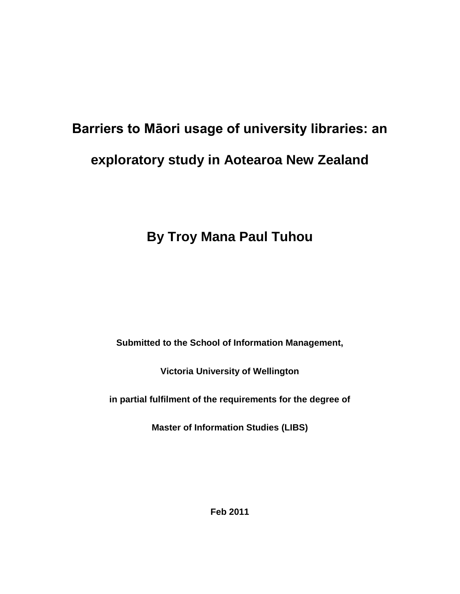# **Barriers to Māori usage of university libraries: an exploratory study in Aotearoa New Zealand**

# **By Troy Mana Paul Tuhou**

**Submitted to the School of Information Management,** 

**Victoria University of Wellington**

**in partial fulfilment of the requirements for the degree of** 

**Master of Information Studies (LIBS)**

**Feb 2011**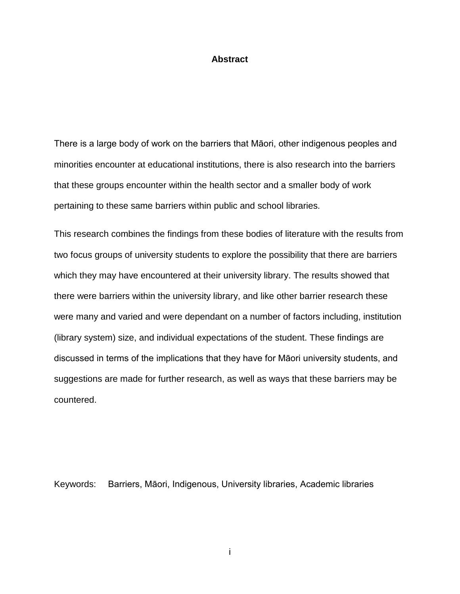#### **Abstract**

There is a large body of work on the barriers that Māori, other indigenous peoples and minorities encounter at educational institutions, there is also research into the barriers that these groups encounter within the health sector and a smaller body of work pertaining to these same barriers within public and school libraries.

This research combines the findings from these bodies of literature with the results from two focus groups of university students to explore the possibility that there are barriers which they may have encountered at their university library. The results showed that there were barriers within the university library, and like other barrier research these were many and varied and were dependant on a number of factors including, institution (library system) size, and individual expectations of the student. These findings are discussed in terms of the implications that they have for Māori university students, and suggestions are made for further research, as well as ways that these barriers may be countered.

Keywords: Barriers, Māori, Indigenous, University libraries, Academic libraries

i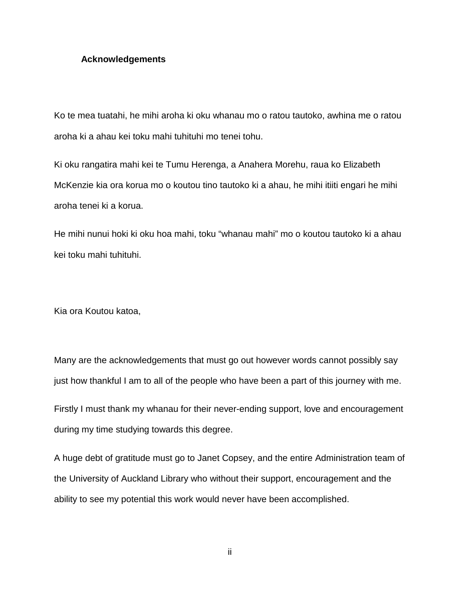#### **Acknowledgements**

Ko te mea tuatahi, he mihi aroha ki oku whanau mo o ratou tautoko, awhina me o ratou aroha ki a ahau kei toku mahi tuhituhi mo tenei tohu.

Ki oku rangatira mahi kei te Tumu Herenga, a Anahera Morehu, raua ko Elizabeth McKenzie kia ora korua mo o koutou tino tautoko ki a ahau, he mihi itiiti engari he mihi aroha tenei ki a korua.

He mihi nunui hoki ki oku hoa mahi, toku "whanau mahi" mo o koutou tautoko ki a ahau kei toku mahi tuhituhi.

Kia ora Koutou katoa,

Many are the acknowledgements that must go out however words cannot possibly say just how thankful I am to all of the people who have been a part of this journey with me.

Firstly I must thank my whanau for their never-ending support, love and encouragement during my time studying towards this degree.

A huge debt of gratitude must go to Janet Copsey, and the entire Administration team of the University of Auckland Library who without their support, encouragement and the ability to see my potential this work would never have been accomplished.

ii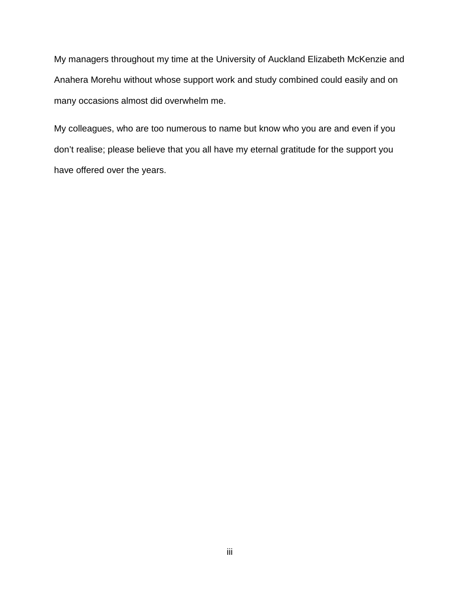My managers throughout my time at the University of Auckland Elizabeth McKenzie and Anahera Morehu without whose support work and study combined could easily and on many occasions almost did overwhelm me.

My colleagues, who are too numerous to name but know who you are and even if you don't realise; please believe that you all have my eternal gratitude for the support you have offered over the years.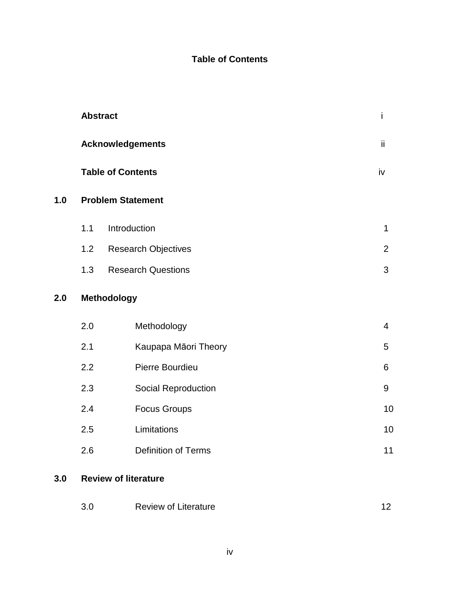### **Table of Contents**

|     |             | <b>Abstract</b>             | İ              |  |  |
|-----|-------------|-----------------------------|----------------|--|--|
|     |             | <b>Acknowledgements</b>     | ii             |  |  |
|     |             | <b>Table of Contents</b>    | iv             |  |  |
| 1.0 |             | <b>Problem Statement</b>    |                |  |  |
|     | 1.1         | Introduction                | $\mathbf{1}$   |  |  |
|     | 1.2         | <b>Research Objectives</b>  | $\overline{2}$ |  |  |
|     | 1.3         | <b>Research Questions</b>   | 3              |  |  |
| 2.0 | Methodology |                             |                |  |  |
|     | 2.0         | Methodology                 | $\overline{4}$ |  |  |
|     | 2.1         | Kaupapa Māori Theory        | 5              |  |  |
|     | 2.2         | Pierre Bourdieu             | 6              |  |  |
|     | 2.3         | Social Reproduction         | 9              |  |  |
|     | 2.4         | <b>Focus Groups</b>         | 10             |  |  |
|     | 2.5         | Limitations                 | 10             |  |  |
|     | 2.6         | <b>Definition of Terms</b>  | 11             |  |  |
| 3.0 |             | <b>Review of literature</b> |                |  |  |

### 3.0 Review of Literature 12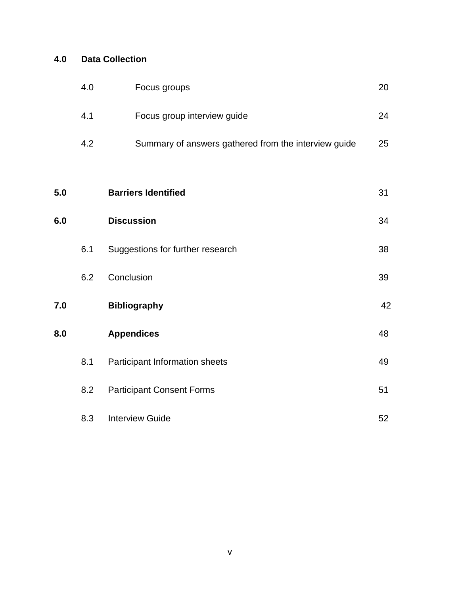### **4.0 Data Collection**

|     | 4.0 | Focus groups                                         | 20 |
|-----|-----|------------------------------------------------------|----|
|     | 4.1 | Focus group interview guide                          | 24 |
|     | 4.2 | Summary of answers gathered from the interview guide | 25 |
|     |     |                                                      |    |
| 5.0 |     | <b>Barriers Identified</b>                           | 31 |
| 6.0 |     | <b>Discussion</b>                                    | 34 |
|     | 6.1 | Suggestions for further research                     | 38 |
|     | 6.2 | Conclusion                                           | 39 |
| 7.0 |     | <b>Bibliography</b>                                  | 42 |
| 0.8 |     | <b>Appendices</b>                                    | 48 |
|     | 8.1 | Participant Information sheets                       | 49 |
|     | 8.2 | <b>Participant Consent Forms</b>                     | 51 |
|     | 8.3 | <b>Interview Guide</b>                               | 52 |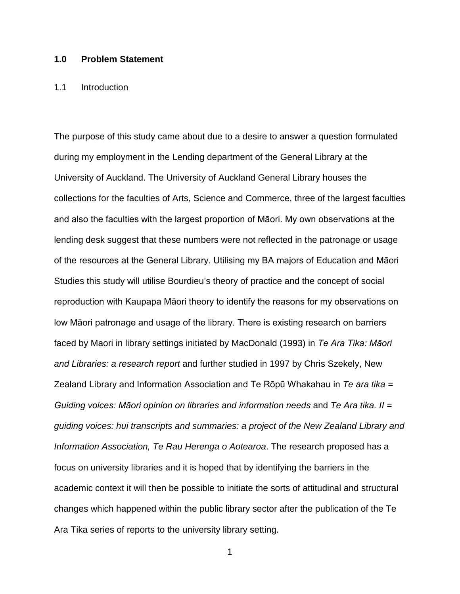#### **1.0 Problem Statement**

#### 1.1 Introduction

The purpose of this study came about due to a desire to answer a question formulated during my employment in the Lending department of the General Library at the University of Auckland. The University of Auckland General Library houses the collections for the faculties of Arts, Science and Commerce, three of the largest faculties and also the faculties with the largest proportion of Māori. My own observations at the lending desk suggest that these numbers were not reflected in the patronage or usage of the resources at the General Library. Utilising my BA majors of Education and Māori Studies this study will utilise Bourdieu's theory of practice and the concept of social reproduction with Kaupapa Māori theory to identify the reasons for my observations on low Māori patronage and usage of the library. There is existing research on barriers faced by Maori in library settings initiated by MacDonald (1993) in *Te Ara Tika: Māori and Libraries: a research report* and further studied in 1997 by Chris Szekely, New Zealand Library and Information Association and Te Rōpū Whakahau in *Te ara tika = Guiding voices: Māori opinion on libraries and information needs* and *Te Ara tika. II = guiding voices: hui transcripts and summaries: a project of the New Zealand Library and Information Association, Te Rau Herenga o Aotearoa*. The research proposed has a focus on university libraries and it is hoped that by identifying the barriers in the academic context it will then be possible to initiate the sorts of attitudinal and structural changes which happened within the public library sector after the publication of the Te Ara Tika series of reports to the university library setting.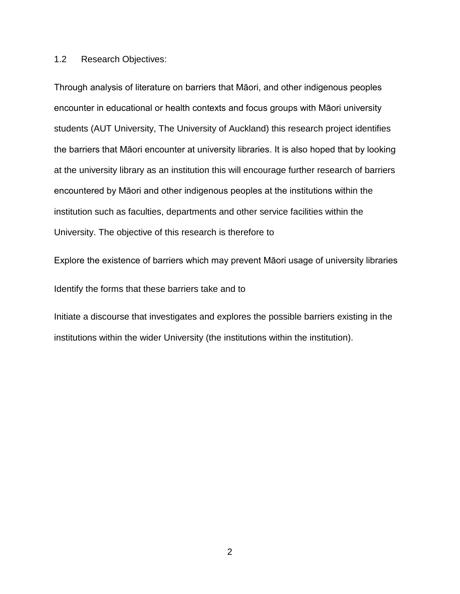#### 1.2 Research Objectives:

Through analysis of literature on barriers that Māori, and other indigenous peoples encounter in educational or health contexts and focus groups with Māori university students (AUT University, The University of Auckland) this research project identifies the barriers that Māori encounter at university libraries. It is also hoped that by looking at the university library as an institution this will encourage further research of barriers encountered by Māori and other indigenous peoples at the institutions within the institution such as faculties, departments and other service facilities within the University. The objective of this research is therefore to

Explore the existence of barriers which may prevent Māori usage of university libraries Identify the forms that these barriers take and to

Initiate a discourse that investigates and explores the possible barriers existing in the institutions within the wider University (the institutions within the institution).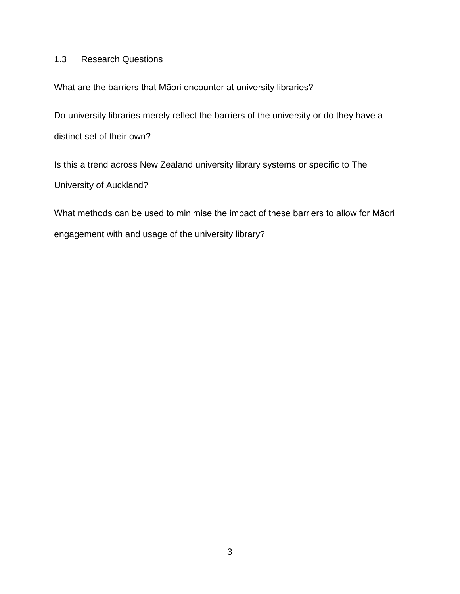### 1.3 Research Questions

What are the barriers that Māori encounter at university libraries?

Do university libraries merely reflect the barriers of the university or do they have a distinct set of their own?

Is this a trend across New Zealand university library systems or specific to The University of Auckland?

What methods can be used to minimise the impact of these barriers to allow for Māori engagement with and usage of the university library?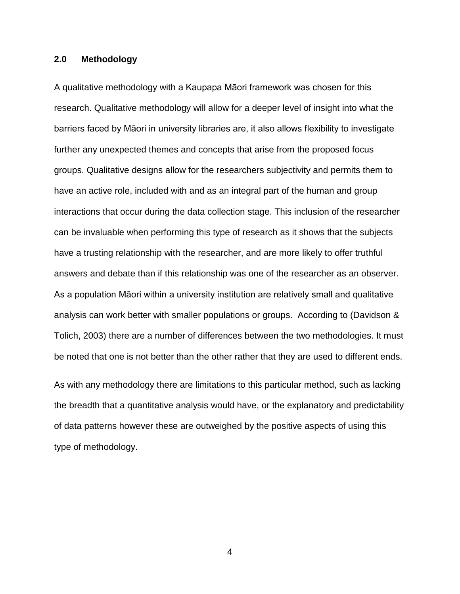#### **2.0 Methodology**

A qualitative methodology with a Kaupapa Māori framework was chosen for this research. Qualitative methodology will allow for a deeper level of insight into what the barriers faced by Māori in university libraries are, it also allows flexibility to investigate further any unexpected themes and concepts that arise from the proposed focus groups. Qualitative designs allow for the researchers subjectivity and permits them to have an active role, included with and as an integral part of the human and group interactions that occur during the data collection stage. This inclusion of the researcher can be invaluable when performing this type of research as it shows that the subjects have a trusting relationship with the researcher, and are more likely to offer truthful answers and debate than if this relationship was one of the researcher as an observer. As a population Māori within a university institution are relatively small and qualitative analysis can work better with smaller populations or groups. According to (Davidson & Tolich, 2003) there are a number of differences between the two methodologies. It must be noted that one is not better than the other rather that they are used to different ends.

As with any methodology there are limitations to this particular method, such as lacking the breadth that a quantitative analysis would have, or the explanatory and predictability of data patterns however these are outweighed by the positive aspects of using this type of methodology.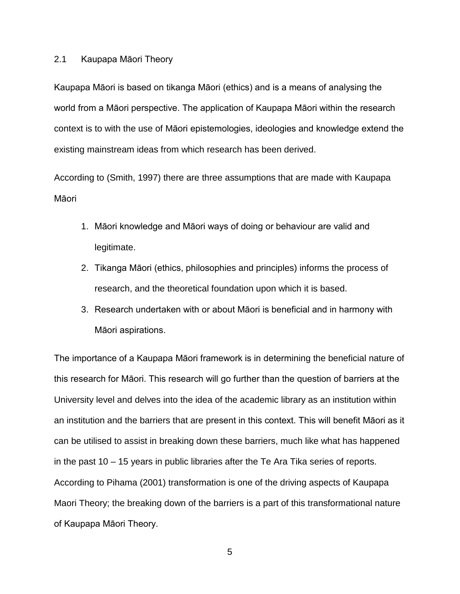#### 2.1 Kaupapa Māori Theory

Kaupapa Māori is based on tikanga Māori (ethics) and is a means of analysing the world from a Māori perspective. The application of Kaupapa Māori within the research context is to with the use of Māori epistemologies, ideologies and knowledge extend the existing mainstream ideas from which research has been derived.

According to (Smith, 1997) there are three assumptions that are made with Kaupapa Māori

- 1. Māori knowledge and Māori ways of doing or behaviour are valid and legitimate.
- 2. Tikanga Māori (ethics, philosophies and principles) informs the process of research, and the theoretical foundation upon which it is based.
- 3. Research undertaken with or about Māori is beneficial and in harmony with Māori aspirations.

The importance of a Kaupapa Māori framework is in determining the beneficial nature of this research for Māori. This research will go further than the question of barriers at the University level and delves into the idea of the academic library as an institution within an institution and the barriers that are present in this context. This will benefit Māori as it can be utilised to assist in breaking down these barriers, much like what has happened in the past 10 – 15 years in public libraries after the Te Ara Tika series of reports. According to Pihama (2001) transformation is one of the driving aspects of Kaupapa Maori Theory; the breaking down of the barriers is a part of this transformational nature of Kaupapa Māori Theory.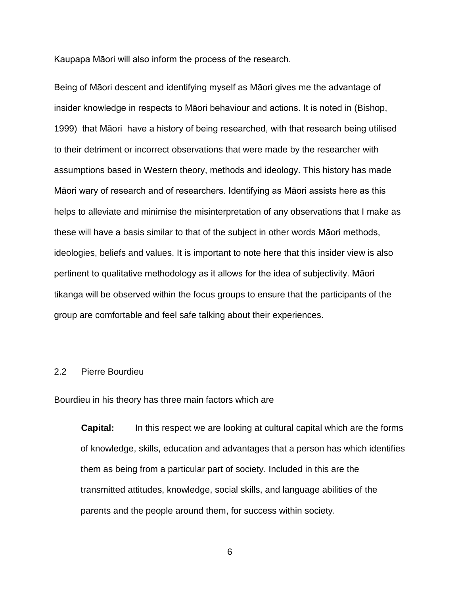Kaupapa Māori will also inform the process of the research.

Being of Māori descent and identifying myself as Māori gives me the advantage of insider knowledge in respects to Māori behaviour and actions. It is noted in (Bishop, 1999) that Māori have a history of being researched, with that research being utilised to their detriment or incorrect observations that were made by the researcher with assumptions based in Western theory, methods and ideology. This history has made Māori wary of research and of researchers. Identifying as Māori assists here as this helps to alleviate and minimise the misinterpretation of any observations that I make as these will have a basis similar to that of the subject in other words Māori methods, ideologies, beliefs and values. It is important to note here that this insider view is also pertinent to qualitative methodology as it allows for the idea of subjectivity. Māori tikanga will be observed within the focus groups to ensure that the participants of the group are comfortable and feel safe talking about their experiences.

#### 2.2 Pierre Bourdieu

Bourdieu in his theory has three main factors which are

**Capital:** In this respect we are looking at cultural capital which are the forms of knowledge, skills, education and advantages that a person has which identifies them as being from a particular part of society. Included in this are the transmitted attitudes, knowledge, social skills, and language abilities of the parents and the people around them, for success within society.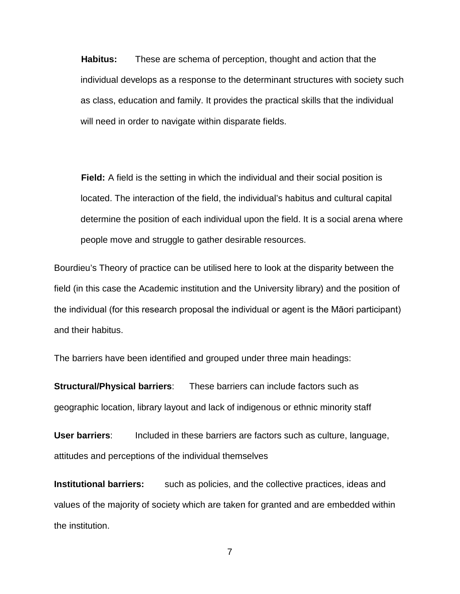**Habitus:** These are schema of perception, thought and action that the individual develops as a response to the determinant structures with society such as class, education and family. It provides the practical skills that the individual will need in order to navigate within disparate fields.

**Field:** A field is the setting in which the individual and their social position is located. The interaction of the field, the individual's habitus and cultural capital determine the position of each individual upon the field. It is a social arena where people move and struggle to gather desirable resources.

Bourdieu's Theory of practice can be utilised here to look at the disparity between the field (in this case the Academic institution and the University library) and the position of the individual (for this research proposal the individual or agent is the Māori participant) and their habitus.

The barriers have been identified and grouped under three main headings:

**Structural/Physical barriers**: These barriers can include factors such as geographic location, library layout and lack of indigenous or ethnic minority staff

**User barriers**: Included in these barriers are factors such as culture, language, attitudes and perceptions of the individual themselves

**Institutional barriers:** such as policies, and the collective practices, ideas and values of the majority of society which are taken for granted and are embedded within the institution.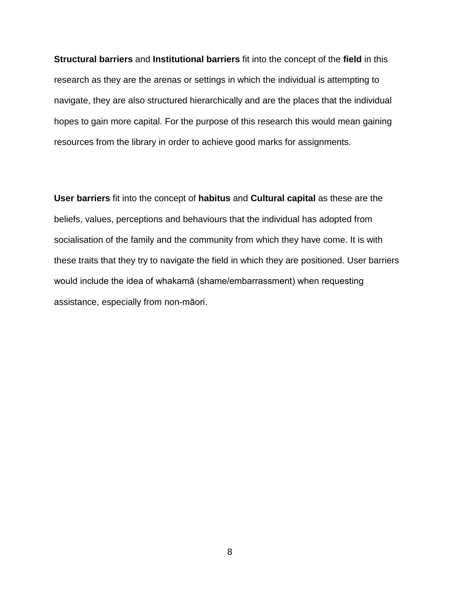**Structural barriers** and **Institutional barriers** fit into the concept of the **field** in this research as they are the arenas or settings in which the individual is attempting to navigate, they are also structured hierarchically and are the places that the individual hopes to gain more capital. For the purpose of this research this would mean gaining resources from the library in order to achieve good marks for assignments.

**User barriers** fit into the concept of **habitus** and **Cultural capital** as these are the beliefs, values, perceptions and behaviours that the individual has adopted from socialisation of the family and the community from which they have come. It is with these traits that they try to navigate the field in which they are positioned. User barriers would include the idea of whakamā (shame/embarrassment) when requesting assistance, especially from non-māori.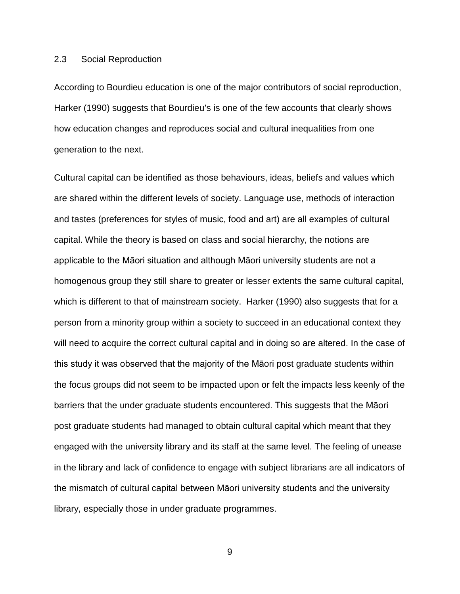#### 2.3 Social Reproduction

According to Bourdieu education is one of the major contributors of social reproduction, Harker (1990) suggests that Bourdieu's is one of the few accounts that clearly shows how education changes and reproduces social and cultural inequalities from one generation to the next.

Cultural capital can be identified as those behaviours, ideas, beliefs and values which are shared within the different levels of society. Language use, methods of interaction and tastes (preferences for styles of music, food and art) are all examples of cultural capital. While the theory is based on class and social hierarchy, the notions are applicable to the Māori situation and although Māori university students are not a homogenous group they still share to greater or lesser extents the same cultural capital, which is different to that of mainstream society. Harker (1990) also suggests that for a person from a minority group within a society to succeed in an educational context they will need to acquire the correct cultural capital and in doing so are altered. In the case of this study it was observed that the majority of the Māori post graduate students within the focus groups did not seem to be impacted upon or felt the impacts less keenly of the barriers that the under graduate students encountered. This suggests that the Māori post graduate students had managed to obtain cultural capital which meant that they engaged with the university library and its staff at the same level. The feeling of unease in the library and lack of confidence to engage with subject librarians are all indicators of the mismatch of cultural capital between Māori university students and the university library, especially those in under graduate programmes.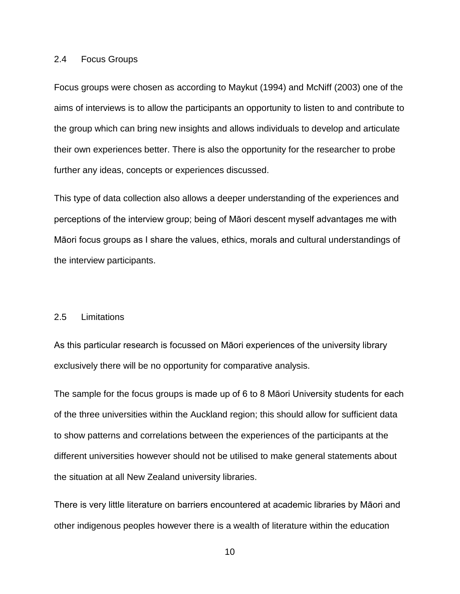#### 2.4 Focus Groups

Focus groups were chosen as according to Maykut (1994) and McNiff (2003) one of the aims of interviews is to allow the participants an opportunity to listen to and contribute to the group which can bring new insights and allows individuals to develop and articulate their own experiences better. There is also the opportunity for the researcher to probe further any ideas, concepts or experiences discussed.

This type of data collection also allows a deeper understanding of the experiences and perceptions of the interview group; being of Māori descent myself advantages me with Māori focus groups as I share the values, ethics, morals and cultural understandings of the interview participants.

#### 2.5 Limitations

As this particular research is focussed on Māori experiences of the university library exclusively there will be no opportunity for comparative analysis.

The sample for the focus groups is made up of 6 to 8 Māori University students for each of the three universities within the Auckland region; this should allow for sufficient data to show patterns and correlations between the experiences of the participants at the different universities however should not be utilised to make general statements about the situation at all New Zealand university libraries.

There is very little literature on barriers encountered at academic libraries by Māori and other indigenous peoples however there is a wealth of literature within the education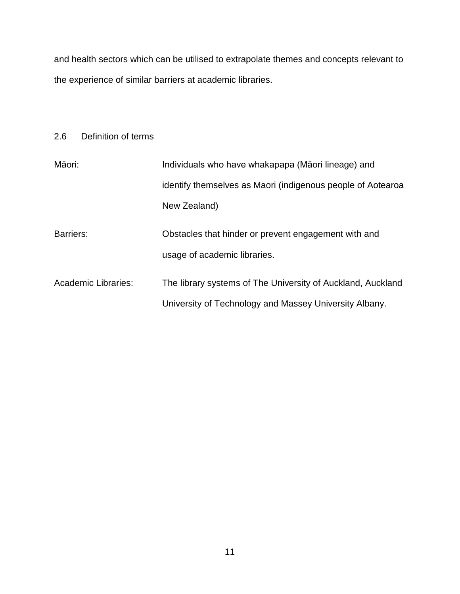and health sectors which can be utilised to extrapolate themes and concepts relevant to the experience of similar barriers at academic libraries.

### 2.6 Definition of terms

| Māori:                     | Individuals who have whakapapa (Māori lineage) and                                                                    |  |  |
|----------------------------|-----------------------------------------------------------------------------------------------------------------------|--|--|
|                            | identify themselves as Maori (indigenous people of Aotearoa                                                           |  |  |
|                            | New Zealand)                                                                                                          |  |  |
| Barriers:                  | Obstacles that hinder or prevent engagement with and<br>usage of academic libraries.                                  |  |  |
| <b>Academic Libraries:</b> | The library systems of The University of Auckland, Auckland<br>University of Technology and Massey University Albany. |  |  |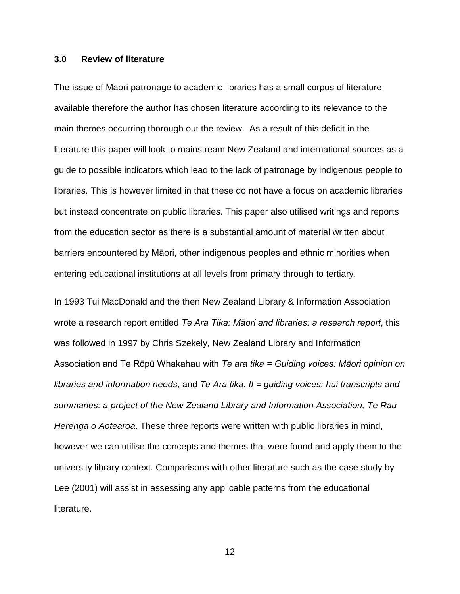#### **3.0 Review of literature**

The issue of Maori patronage to academic libraries has a small corpus of literature available therefore the author has chosen literature according to its relevance to the main themes occurring thorough out the review. As a result of this deficit in the literature this paper will look to mainstream New Zealand and international sources as a guide to possible indicators which lead to the lack of patronage by indigenous people to libraries. This is however limited in that these do not have a focus on academic libraries but instead concentrate on public libraries. This paper also utilised writings and reports from the education sector as there is a substantial amount of material written about barriers encountered by Māori, other indigenous peoples and ethnic minorities when entering educational institutions at all levels from primary through to tertiary.

In 1993 Tui MacDonald and the then New Zealand Library & Information Association wrote a research report entitled *Te Ara Tika: Māori and libraries: a research report*, this was followed in 1997 by Chris Szekely, New Zealand Library and Information Association and Te Rōpū Whakahau with *Te ara tika = Guiding voices: Māori opinion on libraries and information needs*, and *Te Ara tika. II = guiding voices: hui transcripts and summaries: a project of the New Zealand Library and Information Association, Te Rau Herenga o Aotearoa*. These three reports were written with public libraries in mind, however we can utilise the concepts and themes that were found and apply them to the university library context. Comparisons with other literature such as the case study by Lee (2001) will assist in assessing any applicable patterns from the educational literature.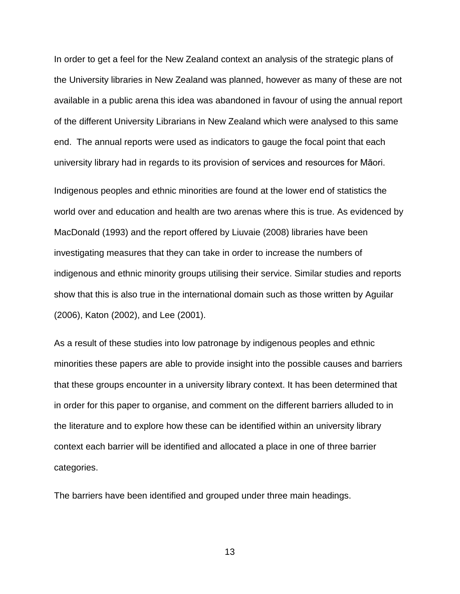In order to get a feel for the New Zealand context an analysis of the strategic plans of the University libraries in New Zealand was planned, however as many of these are not available in a public arena this idea was abandoned in favour of using the annual report of the different University Librarians in New Zealand which were analysed to this same end. The annual reports were used as indicators to gauge the focal point that each university library had in regards to its provision of services and resources for Māori.

Indigenous peoples and ethnic minorities are found at the lower end of statistics the world over and education and health are two arenas where this is true. As evidenced by MacDonald (1993) and the report offered by Liuvaie (2008) libraries have been investigating measures that they can take in order to increase the numbers of indigenous and ethnic minority groups utilising their service. Similar studies and reports show that this is also true in the international domain such as those written by Aguilar (2006), Katon (2002), and Lee (2001).

As a result of these studies into low patronage by indigenous peoples and ethnic minorities these papers are able to provide insight into the possible causes and barriers that these groups encounter in a university library context. It has been determined that in order for this paper to organise, and comment on the different barriers alluded to in the literature and to explore how these can be identified within an university library context each barrier will be identified and allocated a place in one of three barrier categories.

The barriers have been identified and grouped under three main headings.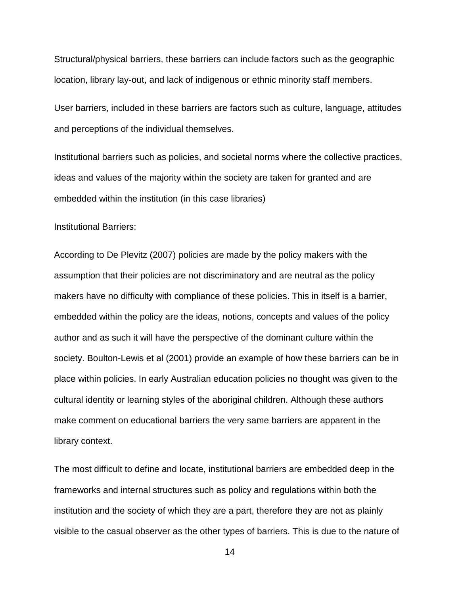Structural/physical barriers, these barriers can include factors such as the geographic location, library lay-out, and lack of indigenous or ethnic minority staff members.

User barriers, included in these barriers are factors such as culture, language, attitudes and perceptions of the individual themselves.

Institutional barriers such as policies, and societal norms where the collective practices, ideas and values of the majority within the society are taken for granted and are embedded within the institution (in this case libraries)

#### Institutional Barriers:

According to De Plevitz (2007) policies are made by the policy makers with the assumption that their policies are not discriminatory and are neutral as the policy makers have no difficulty with compliance of these policies. This in itself is a barrier, embedded within the policy are the ideas, notions, concepts and values of the policy author and as such it will have the perspective of the dominant culture within the society. Boulton-Lewis et al (2001) provide an example of how these barriers can be in place within policies. In early Australian education policies no thought was given to the cultural identity or learning styles of the aboriginal children. Although these authors make comment on educational barriers the very same barriers are apparent in the library context.

The most difficult to define and locate, institutional barriers are embedded deep in the frameworks and internal structures such as policy and regulations within both the institution and the society of which they are a part, therefore they are not as plainly visible to the casual observer as the other types of barriers. This is due to the nature of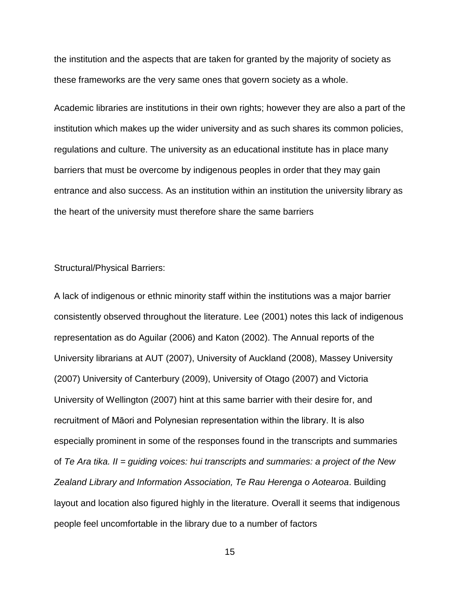the institution and the aspects that are taken for granted by the majority of society as these frameworks are the very same ones that govern society as a whole.

Academic libraries are institutions in their own rights; however they are also a part of the institution which makes up the wider university and as such shares its common policies, regulations and culture. The university as an educational institute has in place many barriers that must be overcome by indigenous peoples in order that they may gain entrance and also success. As an institution within an institution the university library as the heart of the university must therefore share the same barriers

Structural/Physical Barriers:

A lack of indigenous or ethnic minority staff within the institutions was a major barrier consistently observed throughout the literature. Lee (2001) notes this lack of indigenous representation as do Aguilar (2006) and Katon (2002). The Annual reports of the University librarians at AUT (2007), University of Auckland (2008), Massey University (2007) University of Canterbury (2009), University of Otago (2007) and Victoria University of Wellington (2007) hint at this same barrier with their desire for, and recruitment of Māori and Polynesian representation within the library. It is also especially prominent in some of the responses found in the transcripts and summaries of *Te Ara tika. II = guiding voices: hui transcripts and summaries: a project of the New Zealand Library and Information Association, Te Rau Herenga o Aotearoa*. Building layout and location also figured highly in the literature. Overall it seems that indigenous people feel uncomfortable in the library due to a number of factors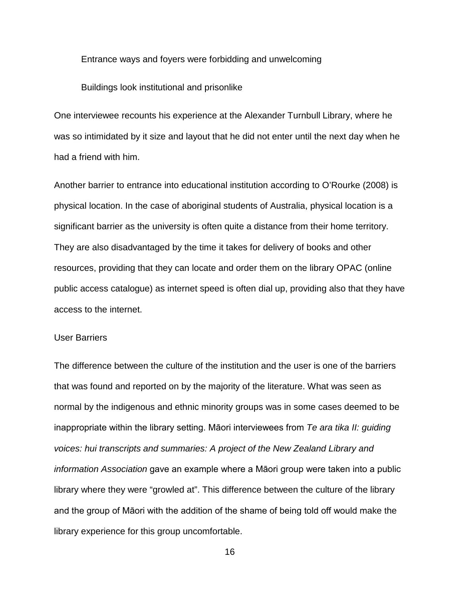Entrance ways and foyers were forbidding and unwelcoming

Buildings look institutional and prisonlike

One interviewee recounts his experience at the Alexander Turnbull Library, where he was so intimidated by it size and layout that he did not enter until the next day when he had a friend with him.

Another barrier to entrance into educational institution according to O'Rourke (2008) is physical location. In the case of aboriginal students of Australia, physical location is a significant barrier as the university is often quite a distance from their home territory. They are also disadvantaged by the time it takes for delivery of books and other resources, providing that they can locate and order them on the library OPAC (online public access catalogue) as internet speed is often dial up, providing also that they have access to the internet.

#### User Barriers

The difference between the culture of the institution and the user is one of the barriers that was found and reported on by the majority of the literature. What was seen as normal by the indigenous and ethnic minority groups was in some cases deemed to be inappropriate within the library setting. Māori interviewees from *Te ara tika II: guiding voices: hui transcripts and summaries: A project of the New Zealand Library and information Association* gave an example where a Māori group were taken into a public library where they were "growled at". This difference between the culture of the library and the group of Māori with the addition of the shame of being told off would make the library experience for this group uncomfortable.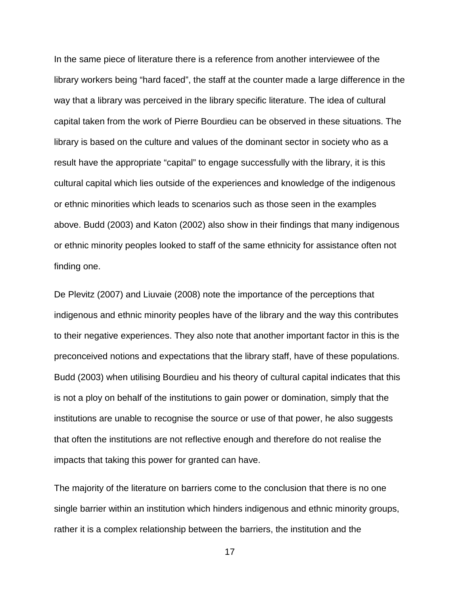In the same piece of literature there is a reference from another interviewee of the library workers being "hard faced", the staff at the counter made a large difference in the way that a library was perceived in the library specific literature. The idea of cultural capital taken from the work of Pierre Bourdieu can be observed in these situations. The library is based on the culture and values of the dominant sector in society who as a result have the appropriate "capital" to engage successfully with the library, it is this cultural capital which lies outside of the experiences and knowledge of the indigenous or ethnic minorities which leads to scenarios such as those seen in the examples above. Budd (2003) and Katon (2002) also show in their findings that many indigenous or ethnic minority peoples looked to staff of the same ethnicity for assistance often not finding one.

De Plevitz (2007) and Liuvaie (2008) note the importance of the perceptions that indigenous and ethnic minority peoples have of the library and the way this contributes to their negative experiences. They also note that another important factor in this is the preconceived notions and expectations that the library staff, have of these populations. Budd (2003) when utilising Bourdieu and his theory of cultural capital indicates that this is not a ploy on behalf of the institutions to gain power or domination, simply that the institutions are unable to recognise the source or use of that power, he also suggests that often the institutions are not reflective enough and therefore do not realise the impacts that taking this power for granted can have.

The majority of the literature on barriers come to the conclusion that there is no one single barrier within an institution which hinders indigenous and ethnic minority groups, rather it is a complex relationship between the barriers, the institution and the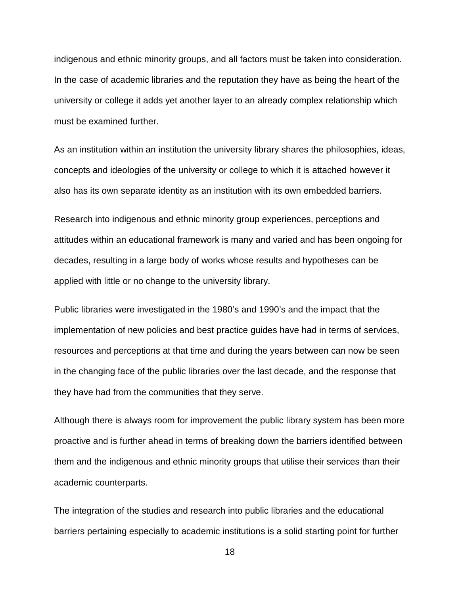indigenous and ethnic minority groups, and all factors must be taken into consideration. In the case of academic libraries and the reputation they have as being the heart of the university or college it adds yet another layer to an already complex relationship which must be examined further.

As an institution within an institution the university library shares the philosophies, ideas, concepts and ideologies of the university or college to which it is attached however it also has its own separate identity as an institution with its own embedded barriers.

Research into indigenous and ethnic minority group experiences, perceptions and attitudes within an educational framework is many and varied and has been ongoing for decades, resulting in a large body of works whose results and hypotheses can be applied with little or no change to the university library.

Public libraries were investigated in the 1980's and 1990's and the impact that the implementation of new policies and best practice guides have had in terms of services, resources and perceptions at that time and during the years between can now be seen in the changing face of the public libraries over the last decade, and the response that they have had from the communities that they serve.

Although there is always room for improvement the public library system has been more proactive and is further ahead in terms of breaking down the barriers identified between them and the indigenous and ethnic minority groups that utilise their services than their academic counterparts.

The integration of the studies and research into public libraries and the educational barriers pertaining especially to academic institutions is a solid starting point for further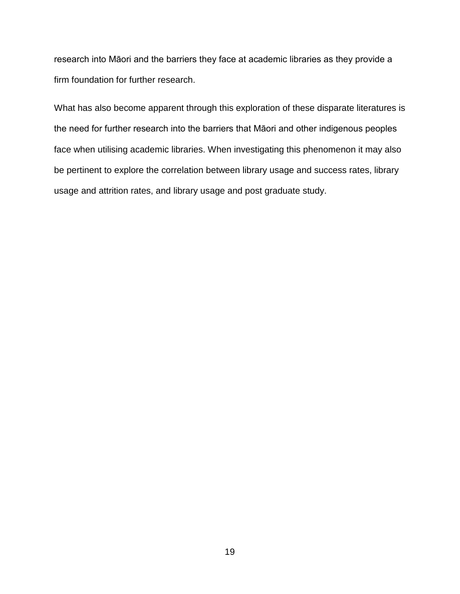research into Māori and the barriers they face at academic libraries as they provide a firm foundation for further research.

What has also become apparent through this exploration of these disparate literatures is the need for further research into the barriers that Māori and other indigenous peoples face when utilising academic libraries. When investigating this phenomenon it may also be pertinent to explore the correlation between library usage and success rates, library usage and attrition rates, and library usage and post graduate study.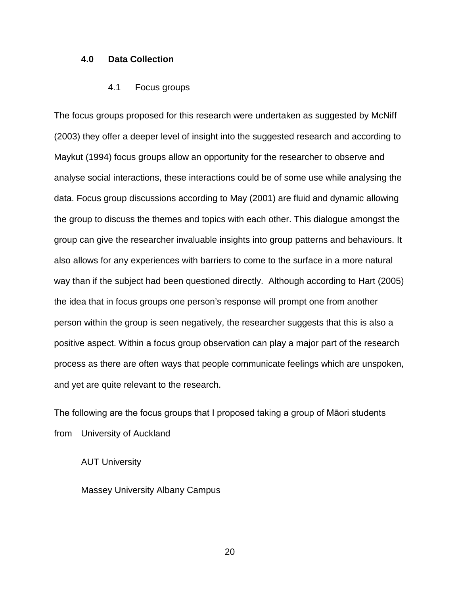#### **4.0 Data Collection**

#### 4.1 Focus groups

The focus groups proposed for this research were undertaken as suggested by McNiff (2003) they offer a deeper level of insight into the suggested research and according to Maykut (1994) focus groups allow an opportunity for the researcher to observe and analyse social interactions, these interactions could be of some use while analysing the data. Focus group discussions according to May (2001) are fluid and dynamic allowing the group to discuss the themes and topics with each other. This dialogue amongst the group can give the researcher invaluable insights into group patterns and behaviours. It also allows for any experiences with barriers to come to the surface in a more natural way than if the subject had been questioned directly. Although according to Hart (2005) the idea that in focus groups one person's response will prompt one from another person within the group is seen negatively, the researcher suggests that this is also a positive aspect. Within a focus group observation can play a major part of the research process as there are often ways that people communicate feelings which are unspoken, and yet are quite relevant to the research.

The following are the focus groups that I proposed taking a group of Māori students from University of Auckland

AUT University

Massey University Albany Campus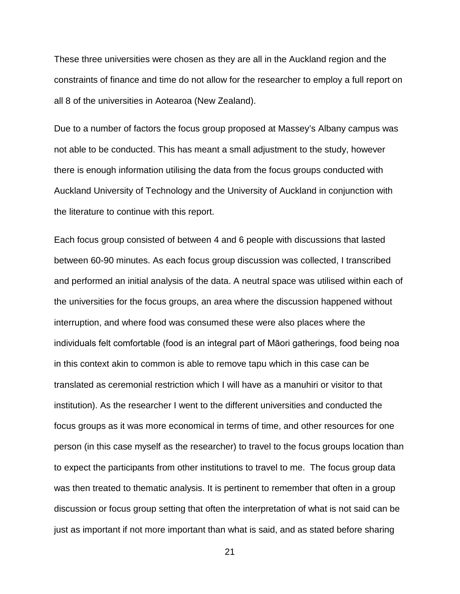These three universities were chosen as they are all in the Auckland region and the constraints of finance and time do not allow for the researcher to employ a full report on all 8 of the universities in Aotearoa (New Zealand).

Due to a number of factors the focus group proposed at Massey's Albany campus was not able to be conducted. This has meant a small adjustment to the study, however there is enough information utilising the data from the focus groups conducted with Auckland University of Technology and the University of Auckland in conjunction with the literature to continue with this report.

Each focus group consisted of between 4 and 6 people with discussions that lasted between 60-90 minutes. As each focus group discussion was collected, I transcribed and performed an initial analysis of the data. A neutral space was utilised within each of the universities for the focus groups, an area where the discussion happened without interruption, and where food was consumed these were also places where the individuals felt comfortable (food is an integral part of Māori gatherings, food being noa in this context akin to common is able to remove tapu which in this case can be translated as ceremonial restriction which I will have as a manuhiri or visitor to that institution). As the researcher I went to the different universities and conducted the focus groups as it was more economical in terms of time, and other resources for one person (in this case myself as the researcher) to travel to the focus groups location than to expect the participants from other institutions to travel to me. The focus group data was then treated to thematic analysis. It is pertinent to remember that often in a group discussion or focus group setting that often the interpretation of what is not said can be just as important if not more important than what is said, and as stated before sharing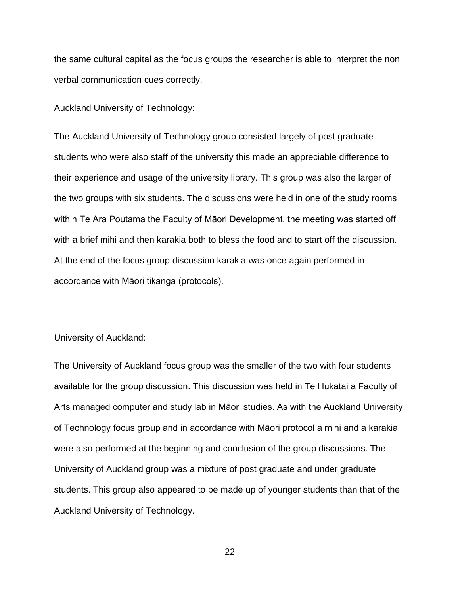the same cultural capital as the focus groups the researcher is able to interpret the non verbal communication cues correctly.

Auckland University of Technology:

The Auckland University of Technology group consisted largely of post graduate students who were also staff of the university this made an appreciable difference to their experience and usage of the university library. This group was also the larger of the two groups with six students. The discussions were held in one of the study rooms within Te Ara Poutama the Faculty of Māori Development, the meeting was started off with a brief mihi and then karakia both to bless the food and to start off the discussion. At the end of the focus group discussion karakia was once again performed in accordance with Māori tikanga (protocols).

#### University of Auckland:

The University of Auckland focus group was the smaller of the two with four students available for the group discussion. This discussion was held in Te Hukatai a Faculty of Arts managed computer and study lab in Māori studies. As with the Auckland University of Technology focus group and in accordance with Māori protocol a mihi and a karakia were also performed at the beginning and conclusion of the group discussions. The University of Auckland group was a mixture of post graduate and under graduate students. This group also appeared to be made up of younger students than that of the Auckland University of Technology.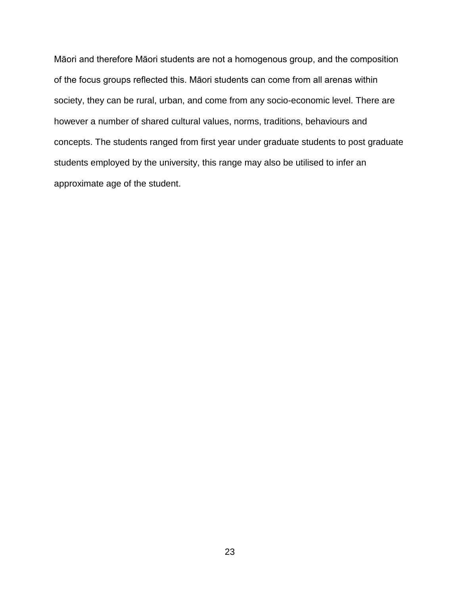Māori and therefore Māori students are not a homogenous group, and the composition of the focus groups reflected this. Māori students can come from all arenas within society, they can be rural, urban, and come from any socio-economic level. There are however a number of shared cultural values, norms, traditions, behaviours and concepts. The students ranged from first year under graduate students to post graduate students employed by the university, this range may also be utilised to infer an approximate age of the student.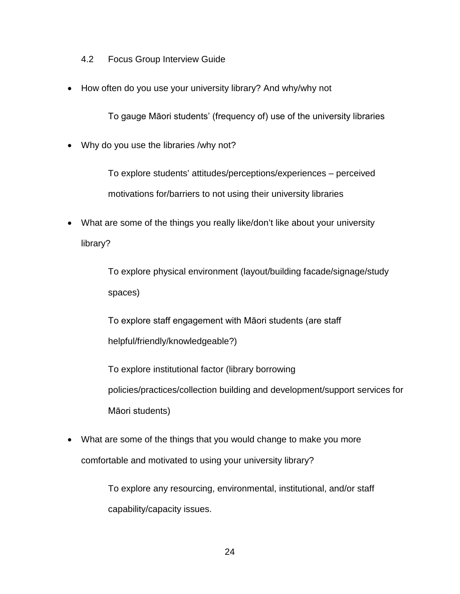- 4.2 Focus Group Interview Guide
- How often do you use your university library? And why/why not

To gauge Māori students' (frequency of) use of the university libraries

• Why do you use the libraries /why not?

To explore students' attitudes/perceptions/experiences – perceived motivations for/barriers to not using their university libraries

• What are some of the things you really like/don't like about your university library?

> To explore physical environment (layout/building facade/signage/study spaces)

To explore staff engagement with Māori students (are staff helpful/friendly/knowledgeable?)

To explore institutional factor (library borrowing policies/practices/collection building and development/support services for Māori students)

• What are some of the things that you would change to make you more comfortable and motivated to using your university library?

> To explore any resourcing, environmental, institutional, and/or staff capability/capacity issues.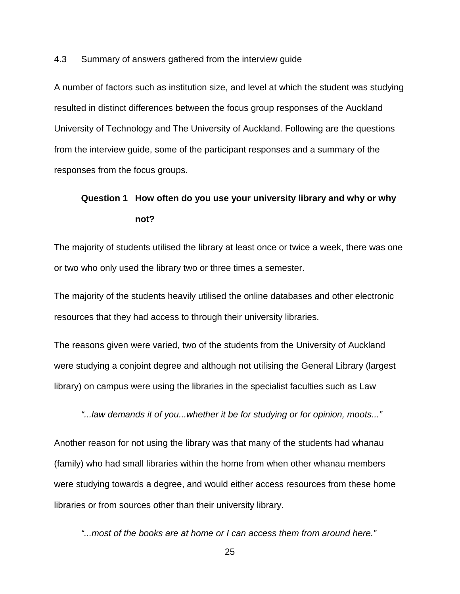4.3 Summary of answers gathered from the interview guide

A number of factors such as institution size, and level at which the student was studying resulted in distinct differences between the focus group responses of the Auckland University of Technology and The University of Auckland. Following are the questions from the interview guide, some of the participant responses and a summary of the responses from the focus groups.

# **Question 1 How often do you use your university library and why or why not?**

The majority of students utilised the library at least once or twice a week, there was one or two who only used the library two or three times a semester.

The majority of the students heavily utilised the online databases and other electronic resources that they had access to through their university libraries.

The reasons given were varied, two of the students from the University of Auckland were studying a conjoint degree and although not utilising the General Library (largest library) on campus were using the libraries in the specialist faculties such as Law

*"...law demands it of you...whether it be for studying or for opinion, moots..."*

Another reason for not using the library was that many of the students had whanau (family) who had small libraries within the home from when other whanau members were studying towards a degree, and would either access resources from these home libraries or from sources other than their university library.

*"...most of the books are at home or I can access them from around here."*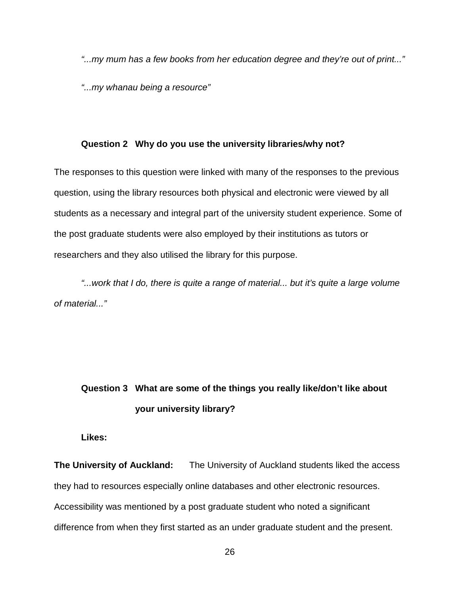*"...my mum has a few books from her education degree and they're out of print..."* 

*"...my whanau being a resource"*

#### **Question 2 Why do you use the university libraries/why not?**

The responses to this question were linked with many of the responses to the previous question, using the library resources both physical and electronic were viewed by all students as a necessary and integral part of the university student experience. Some of the post graduate students were also employed by their institutions as tutors or researchers and they also utilised the library for this purpose.

*"...work that I do, there is quite a range of material... but it's quite a large volume of material..."*

# **Question 3 What are some of the things you really like/don't like about your university library?**

**Likes:**

**The University of Auckland:** The University of Auckland students liked the access they had to resources especially online databases and other electronic resources. Accessibility was mentioned by a post graduate student who noted a significant difference from when they first started as an under graduate student and the present.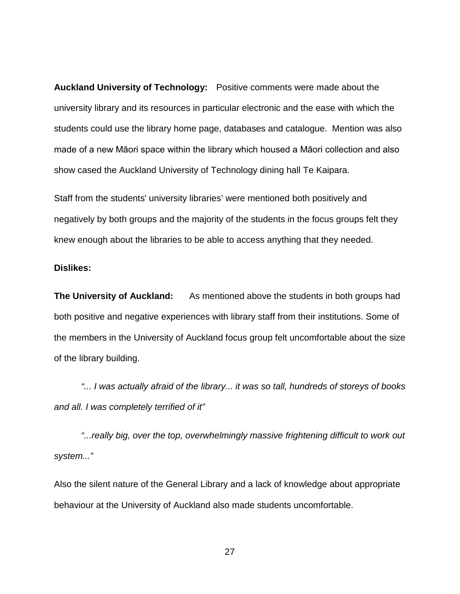**Auckland University of Technology:** Positive comments were made about the university library and its resources in particular electronic and the ease with which the students could use the library home page, databases and catalogue. Mention was also made of a new Māori space within the library which housed a Māori collection and also show cased the Auckland University of Technology dining hall Te Kaipara.

Staff from the students' university libraries' were mentioned both positively and negatively by both groups and the majority of the students in the focus groups felt they knew enough about the libraries to be able to access anything that they needed.

#### **Dislikes:**

**The University of Auckland:** As mentioned above the students in both groups had both positive and negative experiences with library staff from their institutions. Some of the members in the University of Auckland focus group felt uncomfortable about the size of the library building.

*"... I was actually afraid of the library... it was so tall, hundreds of storeys of books and all. I was completely terrified of it"*

*"...really big, over the top, overwhelmingly massive frightening difficult to work out system..."*

Also the silent nature of the General Library and a lack of knowledge about appropriate behaviour at the University of Auckland also made students uncomfortable.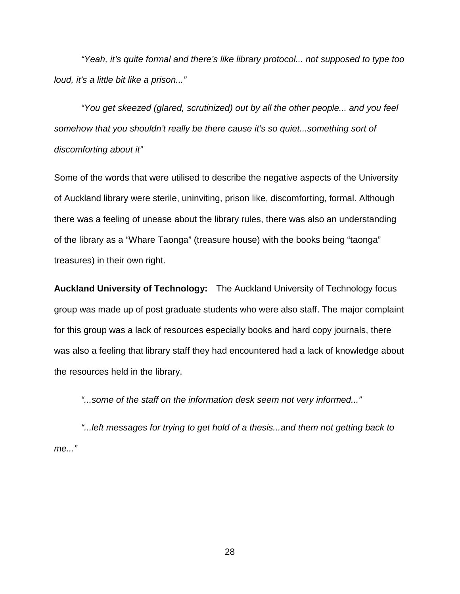*"Yeah, it's quite formal and there's like library protocol... not supposed to type too loud, it's a little bit like a prison..."*

*"You get skeezed (glared, scrutinized) out by all the other people... and you feel somehow that you shouldn't really be there cause it's so quiet...something sort of discomforting about it"*

Some of the words that were utilised to describe the negative aspects of the University of Auckland library were sterile, uninviting, prison like, discomforting, formal. Although there was a feeling of unease about the library rules, there was also an understanding of the library as a "Whare Taonga" (treasure house) with the books being "taonga" treasures) in their own right.

**Auckland University of Technology:** The Auckland University of Technology focus group was made up of post graduate students who were also staff. The major complaint for this group was a lack of resources especially books and hard copy journals, there was also a feeling that library staff they had encountered had a lack of knowledge about the resources held in the library.

*"...some of the staff on the information desk seem not very informed..."* 

*"...left messages for trying to get hold of a thesis...and them not getting back to me..."*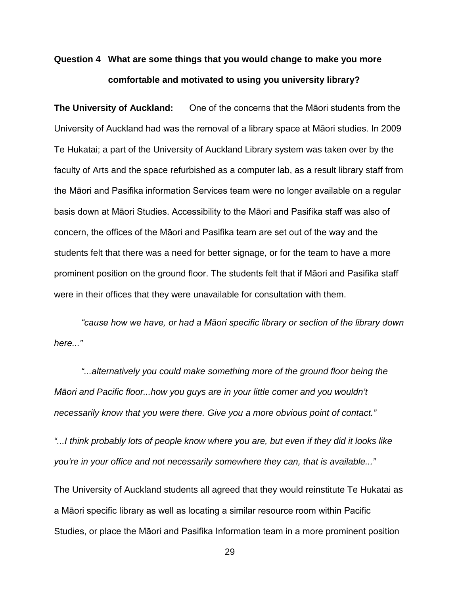# **Question 4 What are some things that you would change to make you more comfortable and motivated to using you university library?**

**The University of Auckland:** One of the concerns that the Māori students from the University of Auckland had was the removal of a library space at Māori studies. In 2009 Te Hukatai; a part of the University of Auckland Library system was taken over by the faculty of Arts and the space refurbished as a computer lab, as a result library staff from the Māori and Pasifika information Services team were no longer available on a regular basis down at Māori Studies. Accessibility to the Māori and Pasifika staff was also of concern, the offices of the Māori and Pasifika team are set out of the way and the students felt that there was a need for better signage, or for the team to have a more prominent position on the ground floor. The students felt that if Māori and Pasifika staff were in their offices that they were unavailable for consultation with them.

*"cause how we have, or had a Māori specific library or section of the library down here..."*

*"...alternatively you could make something more of the ground floor being the Māori and Pacific floor...how you guys are in your little corner and you wouldn't necessarily know that you were there. Give you a more obvious point of contact."*

*"...I think probably lots of people know where you are, but even if they did it looks like you're in your office and not necessarily somewhere they can, that is available..."*

The University of Auckland students all agreed that they would reinstitute Te Hukatai as a Māori specific library as well as locating a similar resource room within Pacific Studies, or place the Māori and Pasifika Information team in a more prominent position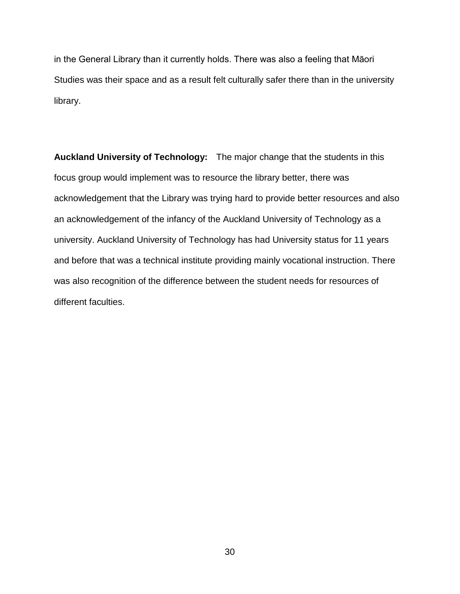in the General Library than it currently holds. There was also a feeling that Māori Studies was their space and as a result felt culturally safer there than in the university library.

**Auckland University of Technology:** The major change that the students in this focus group would implement was to resource the library better, there was acknowledgement that the Library was trying hard to provide better resources and also an acknowledgement of the infancy of the Auckland University of Technology as a university. Auckland University of Technology has had University status for 11 years and before that was a technical institute providing mainly vocational instruction. There was also recognition of the difference between the student needs for resources of different faculties.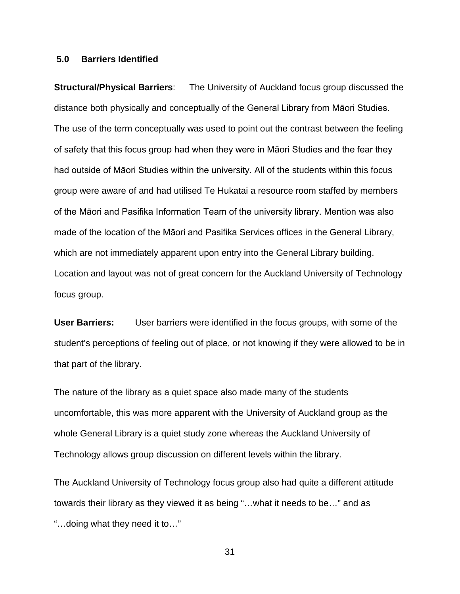#### **5.0 Barriers Identified**

**Structural/Physical Barriers**: The University of Auckland focus group discussed the distance both physically and conceptually of the General Library from Māori Studies. The use of the term conceptually was used to point out the contrast between the feeling of safety that this focus group had when they were in Māori Studies and the fear they had outside of Māori Studies within the university. All of the students within this focus group were aware of and had utilised Te Hukatai a resource room staffed by members of the Māori and Pasifika Information Team of the university library. Mention was also made of the location of the Māori and Pasifika Services offices in the General Library, which are not immediately apparent upon entry into the General Library building. Location and layout was not of great concern for the Auckland University of Technology focus group.

**User Barriers:** User barriers were identified in the focus groups, with some of the student's perceptions of feeling out of place, or not knowing if they were allowed to be in that part of the library.

The nature of the library as a quiet space also made many of the students uncomfortable, this was more apparent with the University of Auckland group as the whole General Library is a quiet study zone whereas the Auckland University of Technology allows group discussion on different levels within the library.

The Auckland University of Technology focus group also had quite a different attitude towards their library as they viewed it as being "…what it needs to be…" and as "…doing what they need it to…"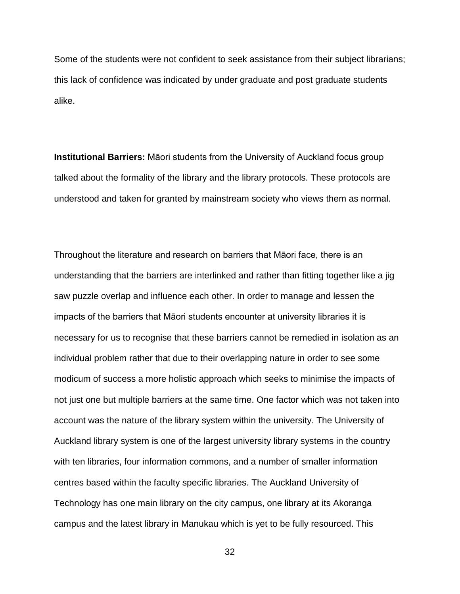Some of the students were not confident to seek assistance from their subject librarians; this lack of confidence was indicated by under graduate and post graduate students alike.

**Institutional Barriers:** Māori students from the University of Auckland focus group talked about the formality of the library and the library protocols. These protocols are understood and taken for granted by mainstream society who views them as normal.

Throughout the literature and research on barriers that Māori face, there is an understanding that the barriers are interlinked and rather than fitting together like a jig saw puzzle overlap and influence each other. In order to manage and lessen the impacts of the barriers that Māori students encounter at university libraries it is necessary for us to recognise that these barriers cannot be remedied in isolation as an individual problem rather that due to their overlapping nature in order to see some modicum of success a more holistic approach which seeks to minimise the impacts of not just one but multiple barriers at the same time. One factor which was not taken into account was the nature of the library system within the university. The University of Auckland library system is one of the largest university library systems in the country with ten libraries, four information commons, and a number of smaller information centres based within the faculty specific libraries. The Auckland University of Technology has one main library on the city campus, one library at its Akoranga campus and the latest library in Manukau which is yet to be fully resourced. This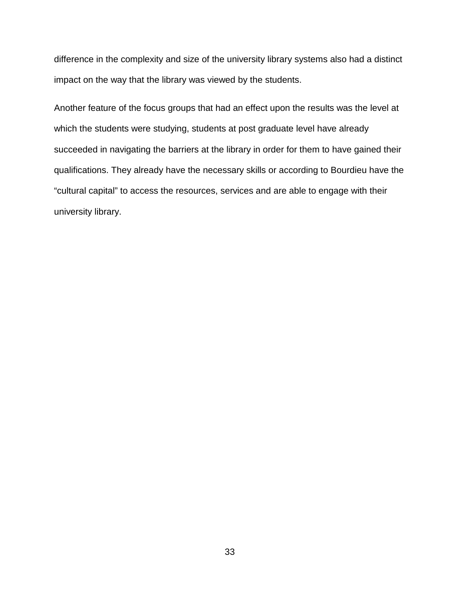difference in the complexity and size of the university library systems also had a distinct impact on the way that the library was viewed by the students.

Another feature of the focus groups that had an effect upon the results was the level at which the students were studying, students at post graduate level have already succeeded in navigating the barriers at the library in order for them to have gained their qualifications. They already have the necessary skills or according to Bourdieu have the "cultural capital" to access the resources, services and are able to engage with their university library.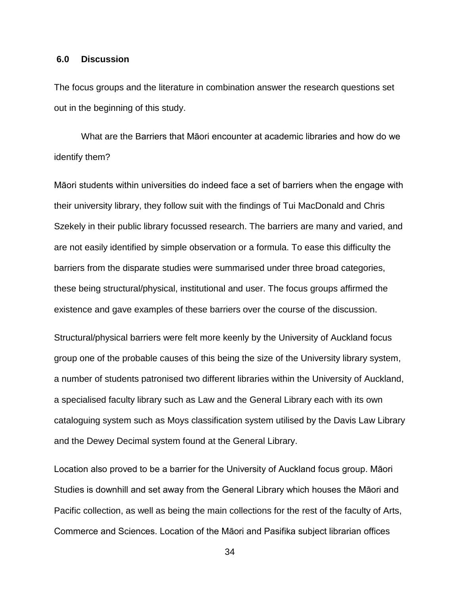#### **6.0 Discussion**

The focus groups and the literature in combination answer the research questions set out in the beginning of this study.

What are the Barriers that Māori encounter at academic libraries and how do we identify them?

Māori students within universities do indeed face a set of barriers when the engage with their university library, they follow suit with the findings of Tui MacDonald and Chris Szekely in their public library focussed research. The barriers are many and varied, and are not easily identified by simple observation or a formula. To ease this difficulty the barriers from the disparate studies were summarised under three broad categories, these being structural/physical, institutional and user. The focus groups affirmed the existence and gave examples of these barriers over the course of the discussion.

Structural/physical barriers were felt more keenly by the University of Auckland focus group one of the probable causes of this being the size of the University library system, a number of students patronised two different libraries within the University of Auckland, a specialised faculty library such as Law and the General Library each with its own cataloguing system such as Moys classification system utilised by the Davis Law Library and the Dewey Decimal system found at the General Library.

Location also proved to be a barrier for the University of Auckland focus group. Māori Studies is downhill and set away from the General Library which houses the Māori and Pacific collection, as well as being the main collections for the rest of the faculty of Arts, Commerce and Sciences. Location of the Māori and Pasifika subject librarian offices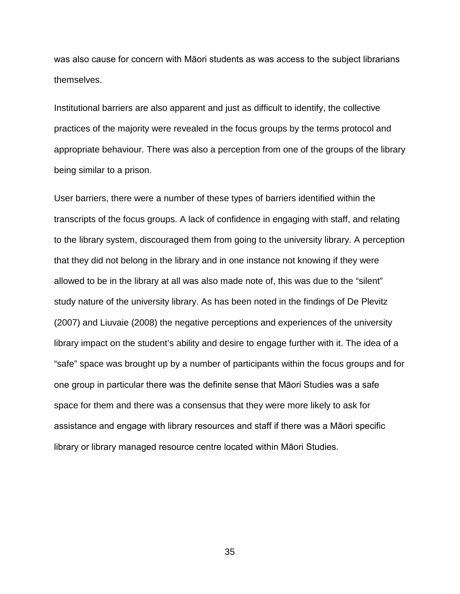was also cause for concern with Māori students as was access to the subject librarians themselves.

Institutional barriers are also apparent and just as difficult to identify, the collective practices of the majority were revealed in the focus groups by the terms protocol and appropriate behaviour. There was also a perception from one of the groups of the library being similar to a prison.

User barriers, there were a number of these types of barriers identified within the transcripts of the focus groups. A lack of confidence in engaging with staff, and relating to the library system, discouraged them from going to the university library. A perception that they did not belong in the library and in one instance not knowing if they were allowed to be in the library at all was also made note of, this was due to the "silent" study nature of the university library. As has been noted in the findings of De Plevitz (2007) and Liuvaie (2008) the negative perceptions and experiences of the university library impact on the student's ability and desire to engage further with it. The idea of a "safe" space was brought up by a number of participants within the focus groups and for one group in particular there was the definite sense that Māori Studies was a safe space for them and there was a consensus that they were more likely to ask for assistance and engage with library resources and staff if there was a Māori specific library or library managed resource centre located within Māori Studies.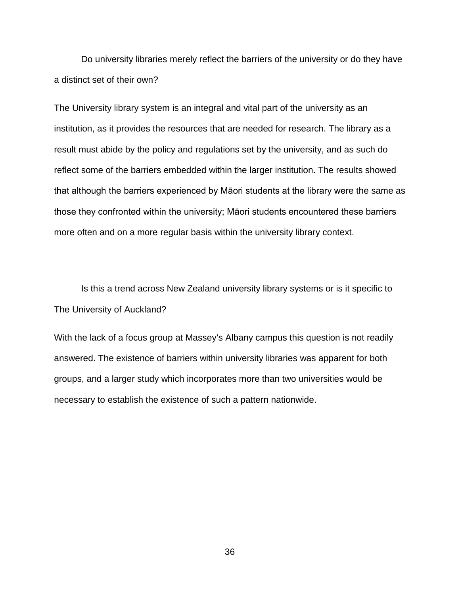Do university libraries merely reflect the barriers of the university or do they have a distinct set of their own?

The University library system is an integral and vital part of the university as an institution, as it provides the resources that are needed for research. The library as a result must abide by the policy and regulations set by the university, and as such do reflect some of the barriers embedded within the larger institution. The results showed that although the barriers experienced by Māori students at the library were the same as those they confronted within the university; Māori students encountered these barriers more often and on a more regular basis within the university library context.

Is this a trend across New Zealand university library systems or is it specific to The University of Auckland?

With the lack of a focus group at Massey's Albany campus this question is not readily answered. The existence of barriers within university libraries was apparent for both groups, and a larger study which incorporates more than two universities would be necessary to establish the existence of such a pattern nationwide.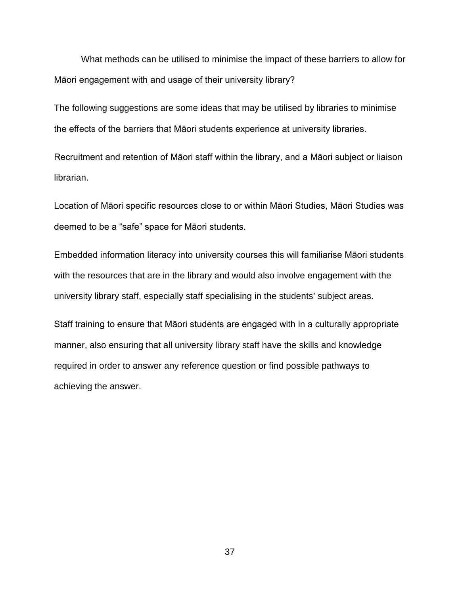What methods can be utilised to minimise the impact of these barriers to allow for Māori engagement with and usage of their university library?

The following suggestions are some ideas that may be utilised by libraries to minimise the effects of the barriers that Māori students experience at university libraries.

Recruitment and retention of Māori staff within the library, and a Māori subject or liaison librarian.

Location of Māori specific resources close to or within Māori Studies, Māori Studies was deemed to be a "safe" space for Māori students.

Embedded information literacy into university courses this will familiarise Māori students with the resources that are in the library and would also involve engagement with the university library staff, especially staff specialising in the students' subject areas.

Staff training to ensure that Māori students are engaged with in a culturally appropriate manner, also ensuring that all university library staff have the skills and knowledge required in order to answer any reference question or find possible pathways to achieving the answer.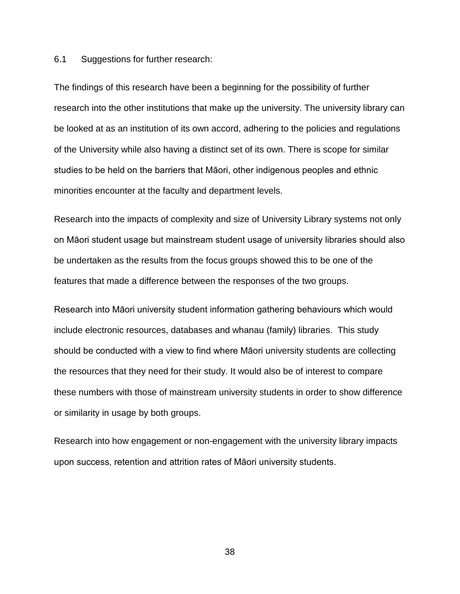6.1 Suggestions for further research:

The findings of this research have been a beginning for the possibility of further research into the other institutions that make up the university. The university library can be looked at as an institution of its own accord, adhering to the policies and regulations of the University while also having a distinct set of its own. There is scope for similar studies to be held on the barriers that Māori, other indigenous peoples and ethnic minorities encounter at the faculty and department levels.

Research into the impacts of complexity and size of University Library systems not only on Māori student usage but mainstream student usage of university libraries should also be undertaken as the results from the focus groups showed this to be one of the features that made a difference between the responses of the two groups.

Research into Māori university student information gathering behaviours which would include electronic resources, databases and whanau (family) libraries. This study should be conducted with a view to find where Māori university students are collecting the resources that they need for their study. It would also be of interest to compare these numbers with those of mainstream university students in order to show difference or similarity in usage by both groups.

Research into how engagement or non-engagement with the university library impacts upon success, retention and attrition rates of Māori university students.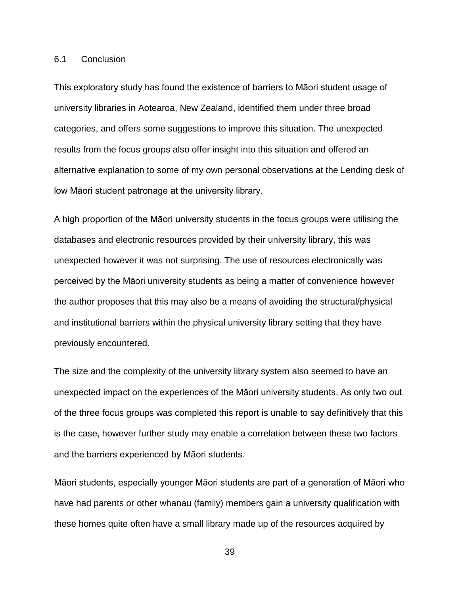#### 6.1 Conclusion

This exploratory study has found the existence of barriers to Māori student usage of university libraries in Aotearoa, New Zealand, identified them under three broad categories, and offers some suggestions to improve this situation. The unexpected results from the focus groups also offer insight into this situation and offered an alternative explanation to some of my own personal observations at the Lending desk of low Māori student patronage at the university library.

A high proportion of the Māori university students in the focus groups were utilising the databases and electronic resources provided by their university library, this was unexpected however it was not surprising. The use of resources electronically was perceived by the Māori university students as being a matter of convenience however the author proposes that this may also be a means of avoiding the structural/physical and institutional barriers within the physical university library setting that they have previously encountered.

The size and the complexity of the university library system also seemed to have an unexpected impact on the experiences of the Māori university students. As only two out of the three focus groups was completed this report is unable to say definitively that this is the case, however further study may enable a correlation between these two factors and the barriers experienced by Māori students.

Māori students, especially younger Māori students are part of a generation of Māori who have had parents or other whanau (family) members gain a university qualification with these homes quite often have a small library made up of the resources acquired by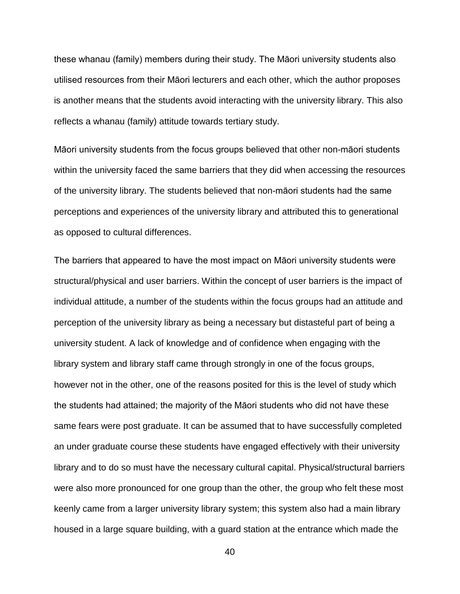these whanau (family) members during their study. The Māori university students also utilised resources from their Māori lecturers and each other, which the author proposes is another means that the students avoid interacting with the university library. This also reflects a whanau (family) attitude towards tertiary study.

Māori university students from the focus groups believed that other non-māori students within the university faced the same barriers that they did when accessing the resources of the university library. The students believed that non-māori students had the same perceptions and experiences of the university library and attributed this to generational as opposed to cultural differences.

The barriers that appeared to have the most impact on Māori university students were structural/physical and user barriers. Within the concept of user barriers is the impact of individual attitude, a number of the students within the focus groups had an attitude and perception of the university library as being a necessary but distasteful part of being a university student. A lack of knowledge and of confidence when engaging with the library system and library staff came through strongly in one of the focus groups, however not in the other, one of the reasons posited for this is the level of study which the students had attained; the majority of the Māori students who did not have these same fears were post graduate. It can be assumed that to have successfully completed an under graduate course these students have engaged effectively with their university library and to do so must have the necessary cultural capital. Physical/structural barriers were also more pronounced for one group than the other, the group who felt these most keenly came from a larger university library system; this system also had a main library housed in a large square building, with a guard station at the entrance which made the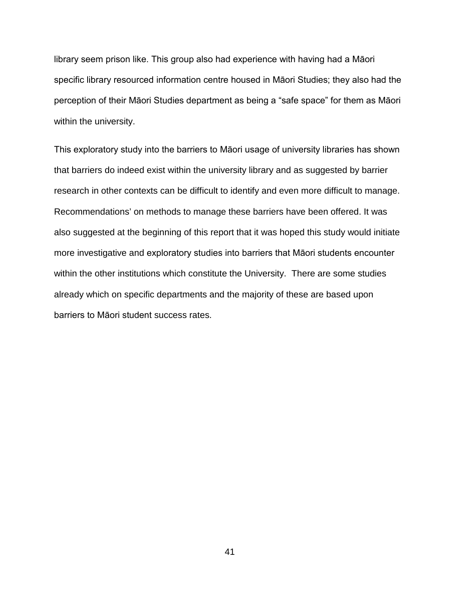library seem prison like. This group also had experience with having had a Māori specific library resourced information centre housed in Māori Studies; they also had the perception of their Māori Studies department as being a "safe space" for them as Māori within the university.

This exploratory study into the barriers to Māori usage of university libraries has shown that barriers do indeed exist within the university library and as suggested by barrier research in other contexts can be difficult to identify and even more difficult to manage. Recommendations' on methods to manage these barriers have been offered. It was also suggested at the beginning of this report that it was hoped this study would initiate more investigative and exploratory studies into barriers that Māori students encounter within the other institutions which constitute the University. There are some studies already which on specific departments and the majority of these are based upon barriers to Māori student success rates.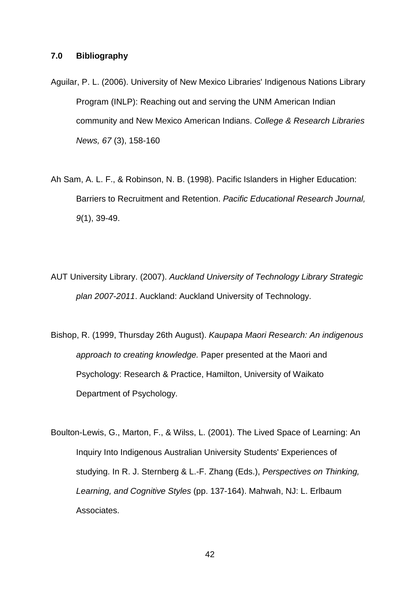#### **7.0 Bibliography**

- Aguilar, P. L. (2006). University of New Mexico Libraries' Indigenous Nations Library Program (INLP): Reaching out and serving the UNM American Indian community and New Mexico American Indians. *College & Research Libraries News, 67* (3), 158-160
- Ah Sam, A. L. F., & Robinson, N. B. (1998). Pacific Islanders in Higher Education: Barriers to Recruitment and Retention. *Pacific Educational Research Journal, 9*(1), 39-49.
- AUT University Library. (2007). *Auckland University of Technology Library Strategic plan 2007-2011*. Auckland: Auckland University of Technology.
- Bishop, R. (1999, Thursday 26th August). *Kaupapa Maori Research: An indigenous approach to creating knowledge.* Paper presented at the Maori and Psychology: Research & Practice, Hamilton, University of Waikato Department of Psychology.
- Boulton-Lewis, G., Marton, F., & Wilss, L. (2001). The Lived Space of Learning: An Inquiry Into Indigenous Australian University Students' Experiences of studying. In R. J. Sternberg & L.-F. Zhang (Eds.), *Perspectives on Thinking, Learning, and Cognitive Styles* (pp. 137-164). Mahwah, NJ: L. Erlbaum Associates.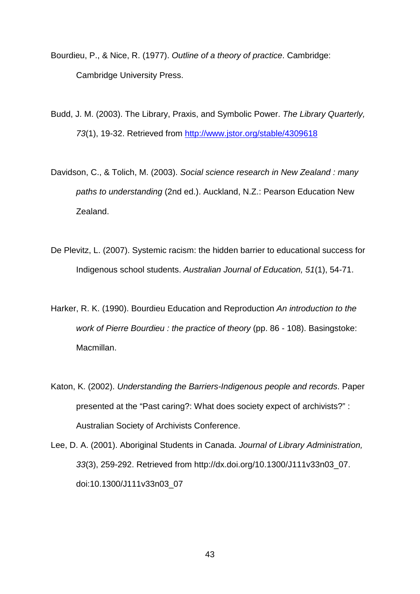- Bourdieu, P., & Nice, R. (1977). *Outline of a theory of practice*. Cambridge: Cambridge University Press.
- Budd, J. M. (2003). The Library, Praxis, and Symbolic Power. *The Library Quarterly, 73*(1), 19-32. Retrieved from<http://www.jstor.org/stable/4309618>
- Davidson, C., & Tolich, M. (2003). *Social science research in New Zealand : many paths to understanding* (2nd ed.). Auckland, N.Z.: Pearson Education New Zealand.
- De Plevitz, L. (2007). Systemic racism: the hidden barrier to educational success for Indigenous school students. *Australian Journal of Education, 51*(1), 54-71.
- Harker, R. K. (1990). Bourdieu Education and Reproduction *An introduction to the work of Pierre Bourdieu : the practice of theory* (pp. 86 - 108). Basingstoke: Macmillan.
- Katon, K. (2002). *Understanding the Barriers-Indigenous people and records*. Paper presented at the "Past caring?: What does society expect of archivists?" : Australian Society of Archivists Conference.
- Lee, D. A. (2001). Aboriginal Students in Canada. *Journal of Library Administration, 33*(3), 259-292. Retrieved from http://dx.doi.org/10.1300/J111v33n03\_07. doi:10.1300/J111v33n03\_07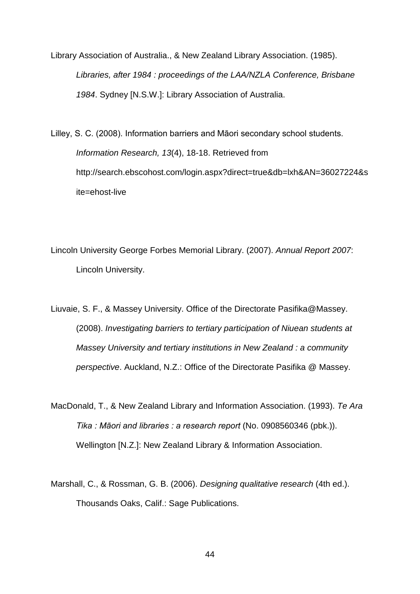Library Association of Australia., & New Zealand Library Association. (1985). *Libraries, after 1984 : proceedings of the LAA/NZLA Conference, Brisbane 1984*. Sydney [N.S.W.]: Library Association of Australia.

Lilley, S. C. (2008). Information barriers and Māori secondary school students. *Information Research, 13*(4), 18-18. Retrieved from http://search.ebscohost.com/login.aspx?direct=true&db=lxh&AN=36027224&s ite=ehost-live

Lincoln University George Forbes Memorial Library. (2007). *Annual Report 2007*: Lincoln University.

Liuvaie, S. F., & Massey University. Office of the Directorate Pasifika@Massey. (2008). *Investigating barriers to tertiary participation of Niuean students at Massey University and tertiary institutions in New Zealand : a community perspective*. Auckland, N.Z.: Office of the Directorate Pasifika @ Massey.

MacDonald, T., & New Zealand Library and Information Association. (1993). *Te Ara Tika : Māori and libraries : a research report* (No. 0908560346 (pbk.)). Wellington [N.Z.]: New Zealand Library & Information Association.

Marshall, C., & Rossman, G. B. (2006). *Designing qualitative research* (4th ed.). Thousands Oaks, Calif.: Sage Publications.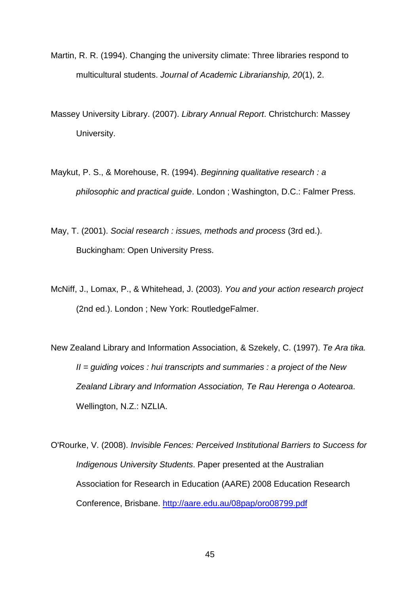- Martin, R. R. (1994). Changing the university climate: Three libraries respond to multicultural students. *Journal of Academic Librarianship, 20*(1), 2.
- Massey University Library. (2007). *Library Annual Report*. Christchurch: Massey University.
- Maykut, P. S., & Morehouse, R. (1994). *Beginning qualitative research : a philosophic and practical guide*. London ; Washington, D.C.: Falmer Press.
- May, T. (2001). *Social research : issues, methods and process* (3rd ed.). Buckingham: Open University Press.
- McNiff, J., Lomax, P., & Whitehead, J. (2003). *You and your action research project* (2nd ed.). London ; New York: RoutledgeFalmer.
- New Zealand Library and Information Association, & Szekely, C. (1997). *Te Ara tika. II = guiding voices : hui transcripts and summaries : a project of the New Zealand Library and Information Association, Te Rau Herenga o Aotearoa*. Wellington, N.Z.: NZLIA.
- O'Rourke, V. (2008). *Invisible Fences: Perceived Institutional Barriers to Success for Indigenous University Students*. Paper presented at the Australian Association for Research in Education (AARE) 2008 Education Research Conference, Brisbane.<http://aare.edu.au/08pap/oro08799.pdf>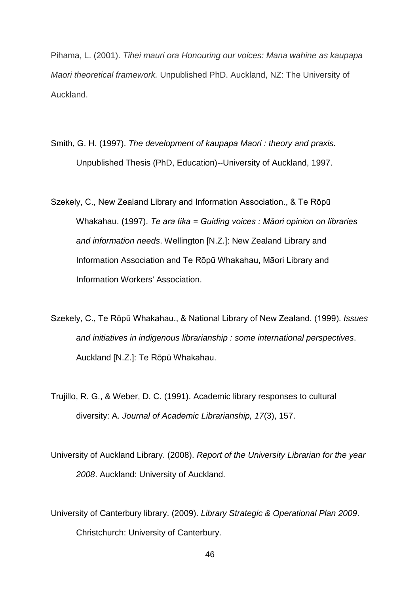Pihama, L. (2001). *Tihei mauri ora Honouring our voices: Mana wahine as kaupapa Maori theoretical framework.* Unpublished PhD. Auckland, NZ: The University of Auckland.

- Smith, G. H. (1997). *The development of kaupapa Maori : theory and praxis.* Unpublished Thesis (PhD, Education)--University of Auckland, 1997.
- Szekely, C., New Zealand Library and Information Association., & Te Rōpū Whakahau. (1997). *Te ara tika = Guiding voices : Māori opinion on libraries and information needs*. Wellington [N.Z.]: New Zealand Library and Information Association and Te Rōpū Whakahau, Māori Library and Information Workers' Association.
- Szekely, C., Te Rōpū Whakahau., & National Library of New Zealand. (1999). *Issues and initiatives in indigenous librarianship : some international perspectives*. Auckland [N.Z.]: Te Rōpū Whakahau.
- Trujillo, R. G., & Weber, D. C. (1991). Academic library responses to cultural diversity: A. *Journal of Academic Librarianship, 17*(3), 157.
- University of Auckland Library. (2008). *Report of the University Librarian for the year 2008*. Auckland: University of Auckland.
- University of Canterbury library. (2009). *Library Strategic & Operational Plan 2009*. Christchurch: University of Canterbury.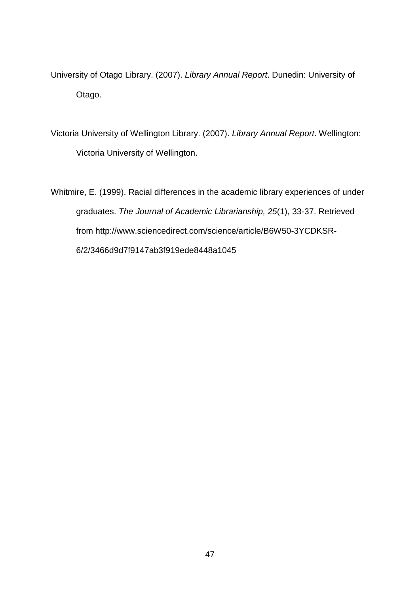University of Otago Library. (2007). *Library Annual Report*. Dunedin: University of Otago.

Victoria University of Wellington Library. (2007). *Library Annual Report*. Wellington: Victoria University of Wellington.

Whitmire, E. (1999). Racial differences in the academic library experiences of under graduates. *The Journal of Academic Librarianship, 25*(1), 33-37. Retrieved from http://www.sciencedirect.com/science/article/B6W50-3YCDKSR-6/2/3466d9d7f9147ab3f919ede8448a1045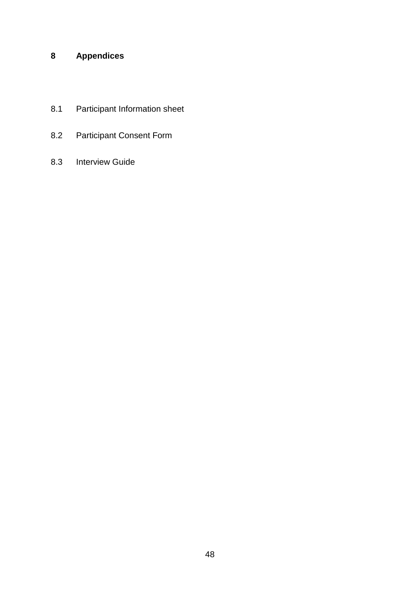### **8 Appendices**

- 8.1 Participant Information sheet
- 8.2 Participant Consent Form
- 8.3 Interview Guide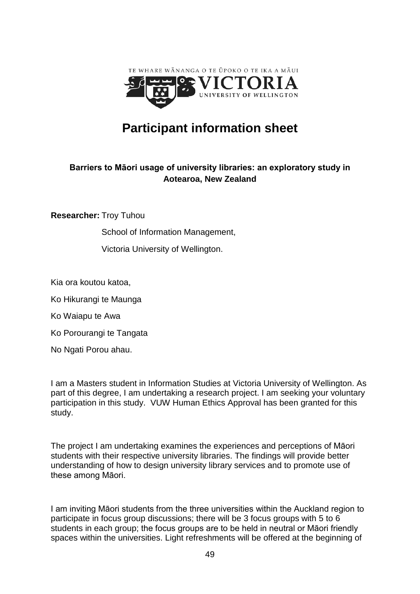

# **Participant information sheet**

### **Barriers to Māori usage of university libraries: an exploratory study in Aotearoa, New Zealand**

**Researcher:** Troy Tuhou

School of Information Management,

Victoria University of Wellington.

Kia ora koutou katoa,

Ko Hikurangi te Maunga

Ko Waiapu te Awa

Ko Porourangi te Tangata

No Ngati Porou ahau.

I am a Masters student in Information Studies at Victoria University of Wellington. As part of this degree, I am undertaking a research project. I am seeking your voluntary participation in this study. VUW Human Ethics Approval has been granted for this study.

The project I am undertaking examines the experiences and perceptions of Māori students with their respective university libraries. The findings will provide better understanding of how to design university library services and to promote use of these among Māori.

I am inviting Māori students from the three universities within the Auckland region to participate in focus group discussions; there will be 3 focus groups with 5 to 6 students in each group; the focus groups are to be held in neutral or Māori friendly spaces within the universities. Light refreshments will be offered at the beginning of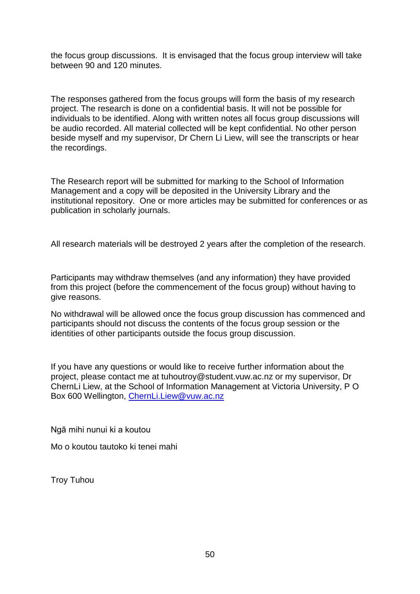the focus group discussions. It is envisaged that the focus group interview will take between 90 and 120 minutes.

The responses gathered from the focus groups will form the basis of my research project. The research is done on a confidential basis. It will not be possible for individuals to be identified. Along with written notes all focus group discussions will be audio recorded. All material collected will be kept confidential. No other person beside myself and my supervisor, Dr Chern Li Liew, will see the transcripts or hear the recordings.

The Research report will be submitted for marking to the School of Information Management and a copy will be deposited in the University Library and the institutional repository. One or more articles may be submitted for conferences or as publication in scholarly journals.

All research materials will be destroyed 2 years after the completion of the research.

Participants may withdraw themselves (and any information) they have provided from this project (before the commencement of the focus group) without having to give reasons.

No withdrawal will be allowed once the focus group discussion has commenced and participants should not discuss the contents of the focus group session or the identities of other participants outside the focus group discussion.

If you have any questions or would like to receive further information about the project, please contact me at tuhoutroy@student.vuw.ac.nz or my supervisor, Dr ChernLi Liew, at the School of Information Management at Victoria University, P O Box 600 Wellington, [ChernLi.Liew@vuw.ac.nz](mailto:ChernLi.Liew@vuw.ac.nz)

Ngā mihi nunui ki a koutou

Mo o koutou tautoko ki tenei mahi

Troy Tuhou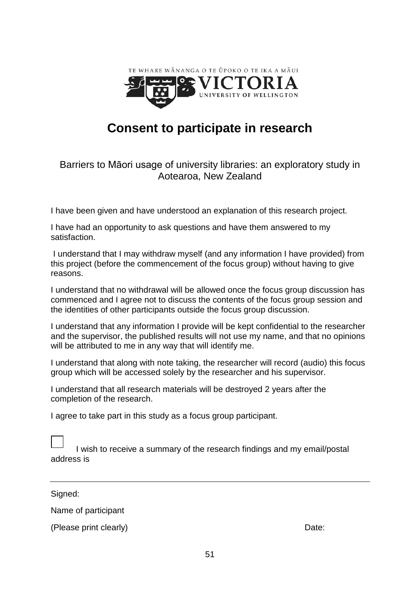

# **Consent to participate in research**

### Barriers to Māori usage of university libraries: an exploratory study in Aotearoa, New Zealand

I have been given and have understood an explanation of this research project.

I have had an opportunity to ask questions and have them answered to my satisfaction.

I understand that I may withdraw myself (and any information I have provided) from this project (before the commencement of the focus group) without having to give reasons.

I understand that no withdrawal will be allowed once the focus group discussion has commenced and I agree not to discuss the contents of the focus group session and the identities of other participants outside the focus group discussion.

I understand that any information I provide will be kept confidential to the researcher and the supervisor, the published results will not use my name, and that no opinions will be attributed to me in any way that will identify me.

I understand that along with note taking, the researcher will record (audio) this focus group which will be accessed solely by the researcher and his supervisor.

I understand that all research materials will be destroyed 2 years after the completion of the research.

I agree to take part in this study as a focus group participant.

|            | I wish to receive a summary of the research findings and my email/postal |  |
|------------|--------------------------------------------------------------------------|--|
| address is |                                                                          |  |

Signed:

 $\Box$ 

Name of participant

(Please print clearly) Date: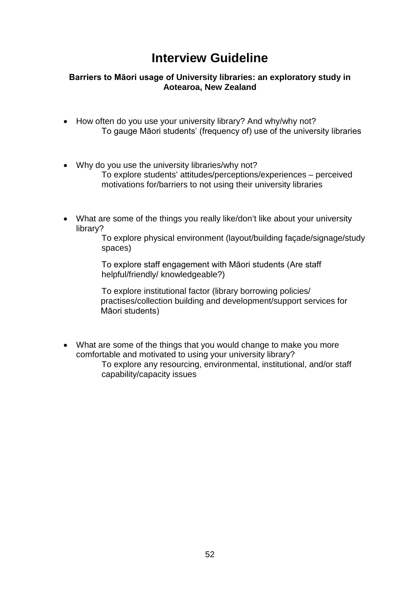# **Interview Guideline**

#### **Barriers to Māori usage of University libraries: an exploratory study in Aotearoa, New Zealand**

- How often do you use your university library? And why/why not? To gauge Māori students' (frequency of) use of the university libraries
- Why do you use the university libraries/why not? To explore students' attitudes/perceptions/experiences – perceived motivations for/barriers to not using their university libraries
- What are some of the things you really like/don't like about your university library?

To explore physical environment (layout/building façade/signage/study spaces)

To explore staff engagement with Māori students (Are staff helpful/friendly/ knowledgeable?)

To explore institutional factor (library borrowing policies/ practises/collection building and development/support services for Māori students)

• What are some of the things that you would change to make you more comfortable and motivated to using your university library? To explore any resourcing, environmental, institutional, and/or staff capability/capacity issues